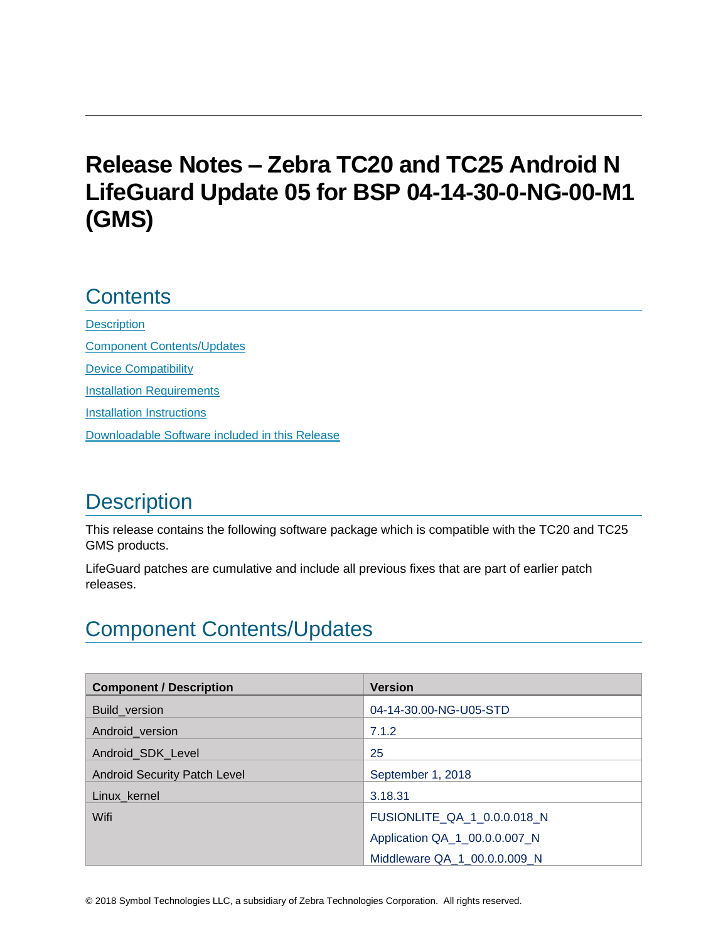# **Release Notes – Zebra TC20 and TC25 Android N LifeGuard Update 05 for BSP 04-14-30-0-NG-00-M1 (GMS)**

## **Contents**

**[Description](#page-0-0)** [Component Contents/Updates](#page-0-1) [Device Compatibility](#page-4-0) **[Installation Requirements](#page-6-0)** [Installation Instructions](#page-6-1) [Downloadable Software included in this Release](#page-8-0) 

## <span id="page-0-0"></span>**Description**

This release contains the following software package which is compatible with the TC20 and TC25 GMS products.

LifeGuard patches are cumulative and include all previous fixes that are part of earlier patch releases.

# <span id="page-0-1"></span>Component Contents/Updates

| <b>Component / Description</b>      | <b>Version</b>                |
|-------------------------------------|-------------------------------|
| Build_version                       | 04-14-30.00-NG-U05-STD        |
| Android_version                     | 7.1.2                         |
| Android SDK Level                   | 25                            |
| <b>Android Security Patch Level</b> | September 1, 2018             |
| Linux_kernel                        | 3.18.31                       |
| Wifi                                | FUSIONLITE_QA_1_0.0.0.018_N   |
|                                     | Application QA_1_00.0.0.007_N |
|                                     | Middleware QA 1 00.0.0.009 N  |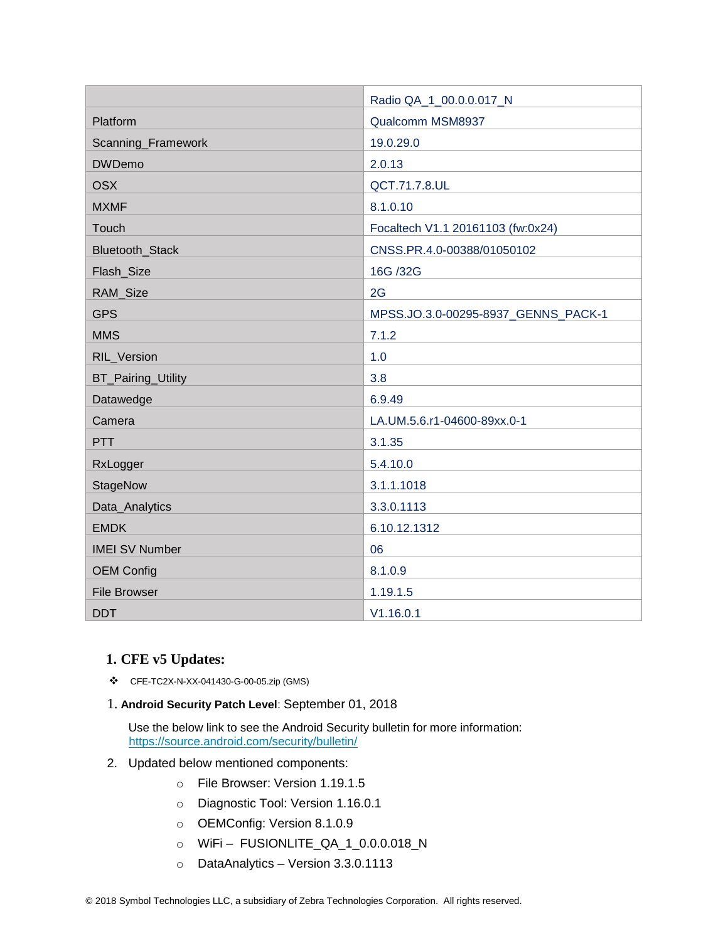|                       | Radio QA_1_00.0.0.017_N             |
|-----------------------|-------------------------------------|
| Platform              | Qualcomm MSM8937                    |
| Scanning_Framework    | 19.0.29.0                           |
| <b>DWDemo</b>         | 2.0.13                              |
| <b>OSX</b>            | QCT.71.7.8.UL                       |
| <b>MXMF</b>           | 8.1.0.10                            |
| Touch                 | Focaltech V1.1 20161103 (fw:0x24)   |
| Bluetooth_Stack       | CNSS.PR.4.0-00388/01050102          |
| Flash_Size            | 16G /32G                            |
| RAM_Size              | 2G                                  |
| <b>GPS</b>            | MPSS.JO.3.0-00295-8937_GENNS_PACK-1 |
| <b>MMS</b>            | 7.1.2                               |
| RIL_Version           | 1.0                                 |
| BT_Pairing_Utility    | 3.8                                 |
| Datawedge             | 6.9.49                              |
| Camera                | LA.UM.5.6.r1-04600-89xx.0-1         |
| <b>PTT</b>            | 3.1.35                              |
| RxLogger              | 5.4.10.0                            |
| StageNow              | 3.1.1.1018                          |
| Data_Analytics        | 3.3.0.1113                          |
| <b>EMDK</b>           | 6.10.12.1312                        |
| <b>IMEI SV Number</b> | 06                                  |
| <b>OEM Config</b>     | 8.1.0.9                             |
| <b>File Browser</b>   | 1.19.1.5                            |
| <b>DDT</b>            | V1.16.0.1                           |

#### **1. CFE v5 Updates:**

- ❖ CFE-TC2X-N-XX-041430-G-00-05.zip (GMS)
- 1. **Android Security Patch Level**: September 01, 2018

Use the below link to see the Android Security bulletin for more information: <https://source.android.com/security/bulletin/>

- 2. Updated below mentioned components:
	- o File Browser: Version 1.19.1.5
	- o Diagnostic Tool: Version 1.16.0.1
	- o OEMConfig: Version 8.1.0.9
	- o WiFi FUSIONLITE\_QA\_1\_0.0.0.018\_N
	- o DataAnalytics Version 3.3.0.1113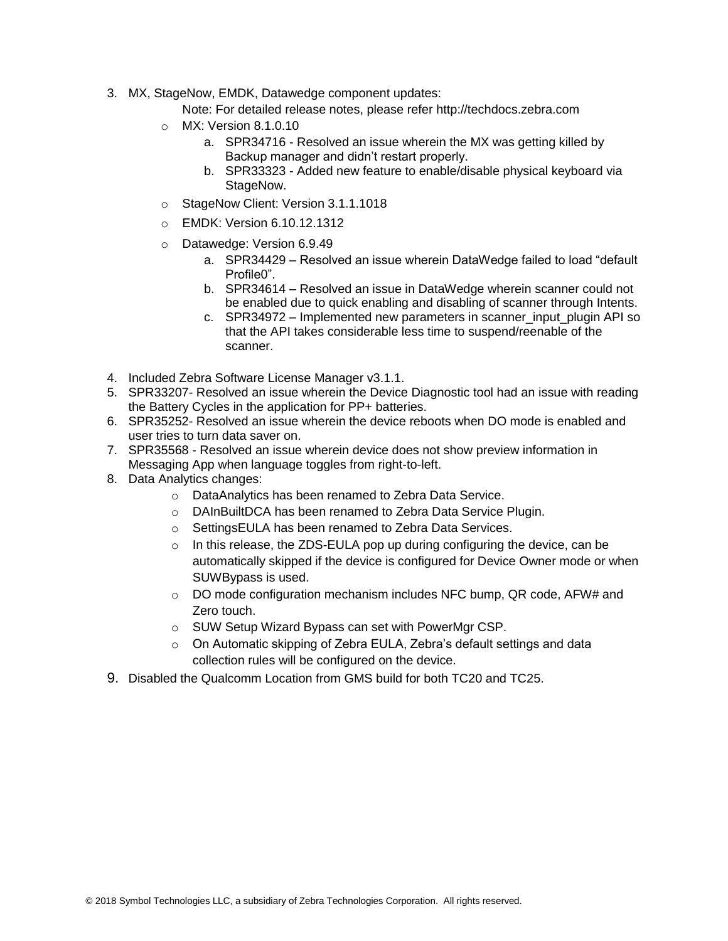3. MX, StageNow, EMDK, Datawedge component updates:

Note: For detailed release notes, please refer [http://techdocs.zebra.com](http://techdocs.zebra.com/)

- o MX: Version 8.1.0.10
	- a. SPR34716 Resolved an issue wherein the MX was getting killed by Backup manager and didn't restart properly.
	- b. SPR33323 Added new feature to enable/disable physical keyboard via StageNow.
- o StageNow Client: Version 3.1.1.1018
- o EMDK: Version 6.10.12.1312
- o Datawedge: Version 6.9.49
	- a. SPR34429 Resolved an issue wherein DataWedge failed to load "default Profile0".
	- b. SPR34614 Resolved an issue in DataWedge wherein scanner could not be enabled due to quick enabling and disabling of scanner through Intents.
	- c. SPR34972 Implemented new parameters in scanner input plugin API so that the API takes considerable less time to suspend/reenable of the scanner.
- 4. Included Zebra Software License Manager v3.1.1.
- 5. SPR33207- Resolved an issue wherein the Device Diagnostic tool had an issue with reading the Battery Cycles in the application for PP+ batteries.
- 6. SPR35252- Resolved an issue wherein the device reboots when DO mode is enabled and user tries to turn data saver on.
- 7. SPR35568 Resolved an issue wherein device does not show preview information in Messaging App when language toggles from right-to-left.
- 8. Data Analytics changes:
	- o DataAnalytics has been renamed to Zebra Data Service.
	- o DAInBuiltDCA has been renamed to Zebra Data Service Plugin.
	- o SettingsEULA has been renamed to Zebra Data Services.
	- $\circ$  In this release, the ZDS-EULA pop up during configuring the device, can be automatically skipped if the device is configured for Device Owner mode or when SUWBypass is used.
	- o DO mode configuration mechanism includes NFC bump, QR code, AFW# and Zero touch.
	- o SUW Setup Wizard Bypass can set with PowerMgr CSP.
	- $\circ$  On Automatic skipping of Zebra EULA, Zebra's default settings and data collection rules will be configured on the device.
- 9. Disabled the Qualcomm Location from GMS build for both TC20 and TC25.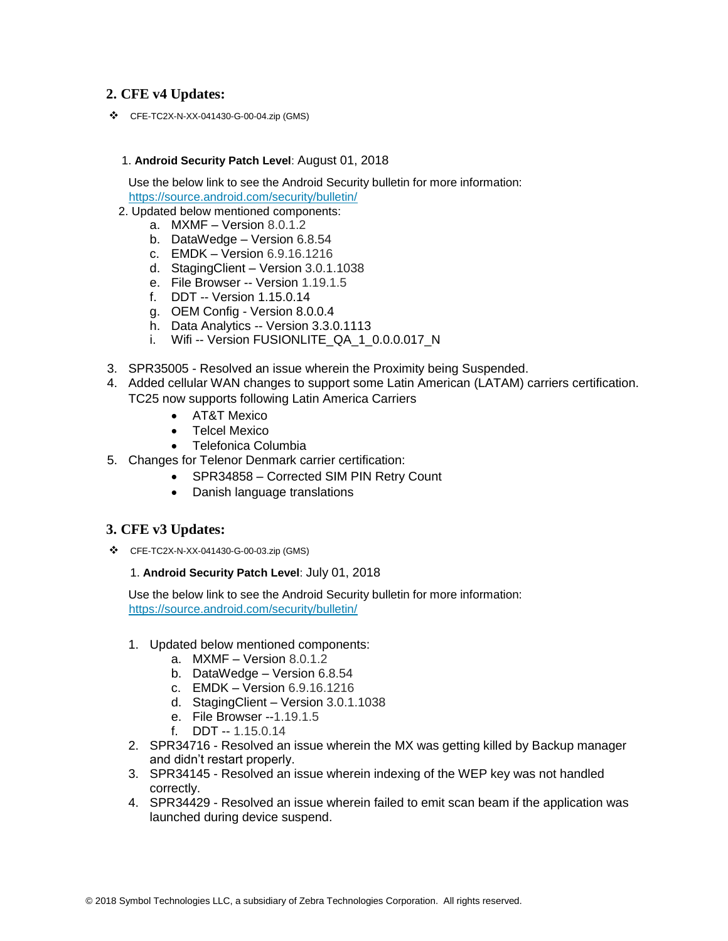### **2. CFE v4 Updates:**

❖ CFE-TC2X-N-XX-041430-G-00-04.zip (GMS)

#### 1. **Android Security Patch Level**: August 01, 2018

Use the below link to see the Android Security bulletin for more information: <https://source.android.com/security/bulletin/>

- 2. Updated below mentioned components:
	- a. MXMF Version 8.0.1.2
		- b. DataWedge Version 6.8.54
		- c. EMDK Version 6.9.16.1216
		- d. StagingClient Version 3.0.1.1038
		- e. File Browser -- Version 1.19.1.5
		- f. DDT -- Version 1.15.0.14
		- g. OEM Config Version 8.0.0.4
		- h. Data Analytics -- Version 3.3.0.1113
		- i. Wifi -- Version FUSIONLITE\_QA\_1\_0.0.0.017\_N
- 3. SPR35005 Resolved an issue wherein the Proximity being Suspended.
- 4. Added cellular WAN changes to support some Latin American (LATAM) carriers certification. TC25 now supports following Latin America Carriers
	- AT&T Mexico
	- Telcel Mexico
	- Telefonica Columbia
- 5. Changes for Telenor Denmark carrier certification:
	- SPR34858 Corrected SIM PIN Retry Count
	- Danish language translations

#### **3. CFE v3 Updates:**

❖ CFE-TC2X-N-XX-041430-G-00-03.zip (GMS)

#### 1. **Android Security Patch Level**: July 01, 2018

Use the below link to see the Android Security bulletin for more information: <https://source.android.com/security/bulletin/>

- 1. Updated below mentioned components:
	- a. MXMF Version 8.0.1.2
	- b. DataWedge Version 6.8.54
	- c. EMDK Version 6.9.16.1216
	- d. StagingClient Version 3.0.1.1038
	- e. File Browser --1.19.1.5
	- f. DDT -- 1.15.0.14
- 2. SPR34716 Resolved an issue wherein the MX was getting killed by Backup manager and didn't restart properly.
- 3. SPR34145 Resolved an issue wherein indexing of the WEP key was not handled correctly.
- 4. SPR34429 Resolved an issue wherein failed to emit scan beam if the application was launched during device suspend.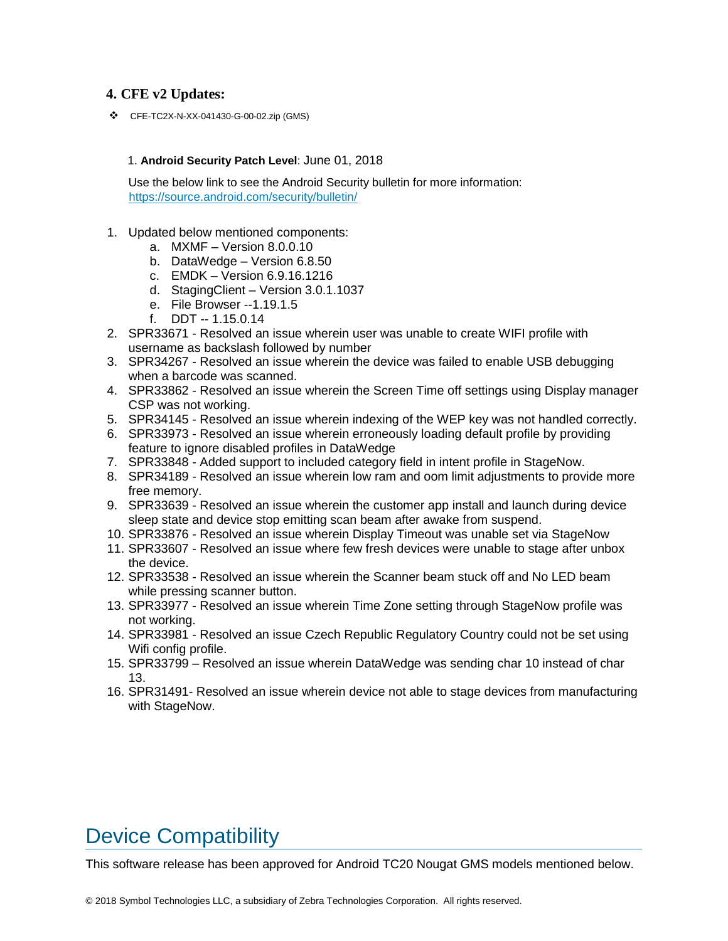### **4. CFE v2 Updates:**

❖ CFE-TC2X-N-XX-041430-G-00-02.zip (GMS)

#### 1. **Android Security Patch Level**: June 01, 2018

Use the below link to see the Android Security bulletin for more information: <https://source.android.com/security/bulletin/>

- 1. Updated below mentioned components:
	- a. MXMF Version 8.0.0.10
	- b. DataWedge Version 6.8.50
	- c. EMDK Version 6.9.16.1216
	- d. StagingClient Version 3.0.1.1037
	- e. File Browser --1.19.1.5
	- f. DDT -- 1.15.0.14
- 2. SPR33671 Resolved an issue wherein user was unable to create WIFI profile with username as backslash followed by number
- 3. SPR34267 Resolved an issue wherein the device was failed to enable USB debugging when a barcode was scanned.
- 4. SPR33862 Resolved an issue wherein the Screen Time off settings using Display manager CSP was not working.
- 5. SPR34145 Resolved an issue wherein indexing of the WEP key was not handled correctly.
- 6. SPR33973 Resolved an issue wherein erroneously loading default profile by providing feature to ignore disabled profiles in DataWedge
- 7. SPR33848 Added support to included category field in intent profile in StageNow.
- 8. SPR34189 Resolved an issue wherein low ram and oom limit adjustments to provide more free memory.
- 9. SPR33639 Resolved an issue wherein the customer app install and launch during device sleep state and device stop emitting scan beam after awake from suspend.
- 10. SPR33876 Resolved an issue wherein Display Timeout was unable set via StageNow
- 11. SPR33607 Resolved an issue where few fresh devices were unable to stage after unbox the device.
- 12. SPR33538 Resolved an issue wherein the Scanner beam stuck off and No LED beam while pressing scanner button.
- 13. SPR33977 Resolved an issue wherein Time Zone setting through StageNow profile was not working.
- 14. SPR33981 Resolved an issue Czech Republic Regulatory Country could not be set using Wifi config profile.
- 15. SPR33799 Resolved an issue wherein DataWedge was sending char 10 instead of char 13.
- 16. SPR31491- Resolved an issue wherein device not able to stage devices from manufacturing with StageNow.

## <span id="page-4-0"></span>Device Compatibility

This software release has been approved for Android TC20 Nougat GMS models mentioned below.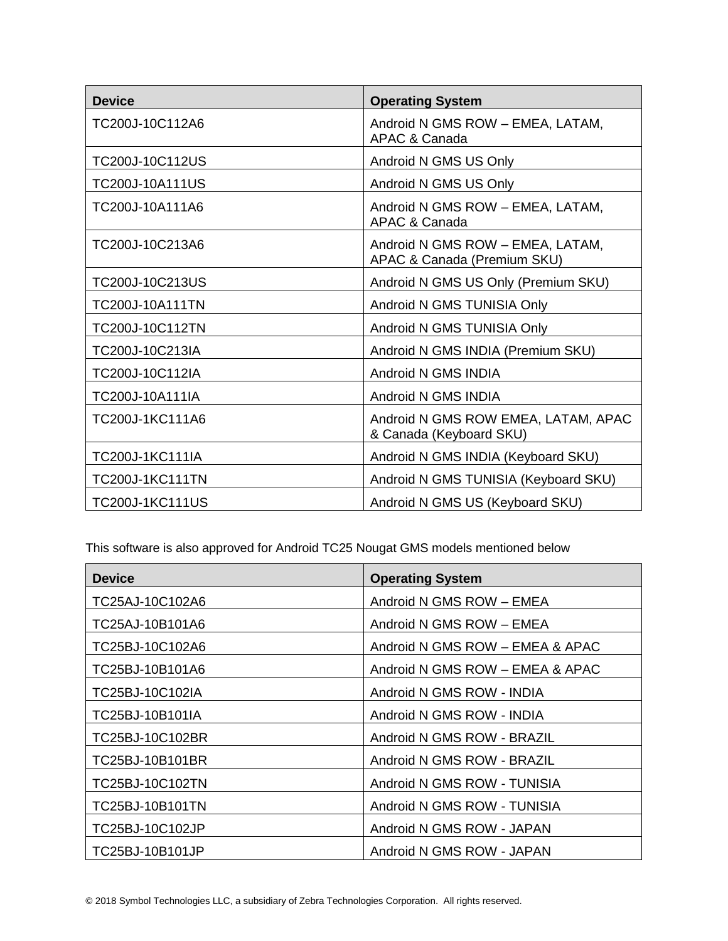| <b>Device</b>          | <b>Operating System</b>                                         |
|------------------------|-----------------------------------------------------------------|
| TC200J-10C112A6        | Android N GMS ROW - EMEA, LATAM,<br>APAC & Canada               |
| TC200J-10C112US        | Android N GMS US Only                                           |
| TC200J-10A111US        | Android N GMS US Only                                           |
| TC200J-10A111A6        | Android N GMS ROW - EMEA, LATAM,<br>APAC & Canada               |
| TC200J-10C213A6        | Android N GMS ROW - EMEA, LATAM,<br>APAC & Canada (Premium SKU) |
| TC200J-10C213US        | Android N GMS US Only (Premium SKU)                             |
| <b>TC200J-10A111TN</b> | Android N GMS TUNISIA Only                                      |
| TC200J-10C112TN        | Android N GMS TUNISIA Only                                      |
| TC200J-10C213IA        | Android N GMS INDIA (Premium SKU)                               |
| TC200J-10C112IA        | Android N GMS INDIA                                             |
| TC200J-10A111IA        | Android N GMS INDIA                                             |
| TC200J-1KC111A6        | Android N GMS ROW EMEA, LATAM, APAC<br>& Canada (Keyboard SKU)  |
| TC200J-1KC111IA        | Android N GMS INDIA (Keyboard SKU)                              |
| <b>TC200J-1KC111TN</b> | Android N GMS TUNISIA (Keyboard SKU)                            |
| <b>TC200J-1KC111US</b> | Android N GMS US (Keyboard SKU)                                 |

This software is also approved for Android TC25 Nougat GMS models mentioned below

| <b>Device</b>   | <b>Operating System</b>         |
|-----------------|---------------------------------|
| TC25AJ-10C102A6 | Android N GMS ROW - EMEA        |
| TC25AJ-10B101A6 | Android N GMS ROW - EMEA        |
| TC25BJ-10C102A6 | Android N GMS ROW - EMEA & APAC |
| TC25BJ-10B101A6 | Android N GMS ROW - EMEA & APAC |
| TC25BJ-10C102IA | Android N GMS ROW - INDIA       |
| TC25BJ-10B101IA | Android N GMS ROW - INDIA       |
| TC25BJ-10C102BR | Android N GMS ROW - BRAZIL      |
| TC25BJ-10B101BR | Android N GMS ROW - BRAZIL      |
| TC25BJ-10C102TN | Android N GMS ROW - TUNISIA     |
| TC25BJ-10B101TN | Android N GMS ROW - TUNISIA     |
| TC25BJ-10C102JP | Android N GMS ROW - JAPAN       |
| TC25BJ-10B101JP | Android N GMS ROW - JAPAN       |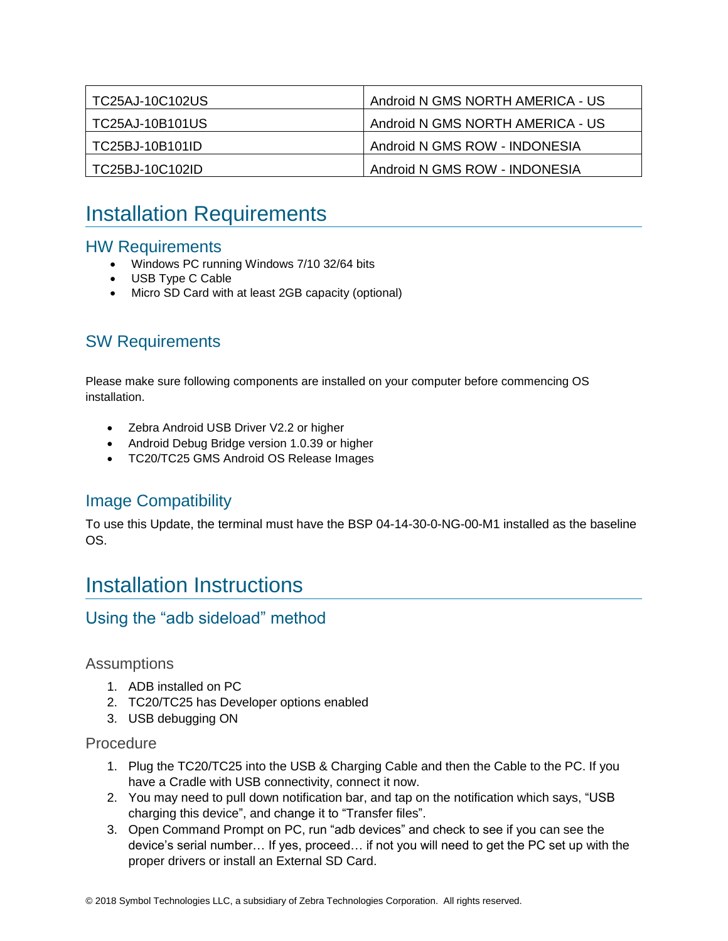| TC25AJ-10C102US | Android N GMS NORTH AMERICA - US |
|-----------------|----------------------------------|
| TC25AJ-10B101US | Android N GMS NORTH AMERICA - US |
| TC25BJ-10B101ID | Android N GMS ROW - INDONESIA    |
| TC25BJ-10C102ID | Android N GMS ROW - INDONESIA    |

## <span id="page-6-0"></span>Installation Requirements

### HW Requirements

- Windows PC running Windows 7/10 32/64 bits
- USB Type C Cable
- Micro SD Card with at least 2GB capacity (optional)

### SW Requirements

Please make sure following components are installed on your computer before commencing OS installation.

- Zebra Android USB Driver V2.2 or higher
- Android Debug Bridge version 1.0.39 or higher
- TC20/TC25 GMS Android OS Release Images

### Image Compatibility

To use this Update, the terminal must have the BSP 04-14-30-0-NG-00-M1 installed as the baseline OS.

## <span id="page-6-1"></span>Installation Instructions

### Using the "adb sideload" method

### **Assumptions**

- 1. ADB installed on PC
- 2. TC20/TC25 has Developer options enabled
- 3. USB debugging ON

### Procedure

- 1. Plug the TC20/TC25 into the USB & Charging Cable and then the Cable to the PC. If you have a Cradle with USB connectivity, connect it now.
- 2. You may need to pull down notification bar, and tap on the notification which says, "USB charging this device", and change it to "Transfer files".
- 3. Open Command Prompt on PC, run "adb devices" and check to see if you can see the device's serial number… If yes, proceed… if not you will need to get the PC set up with the proper drivers or install an External SD Card.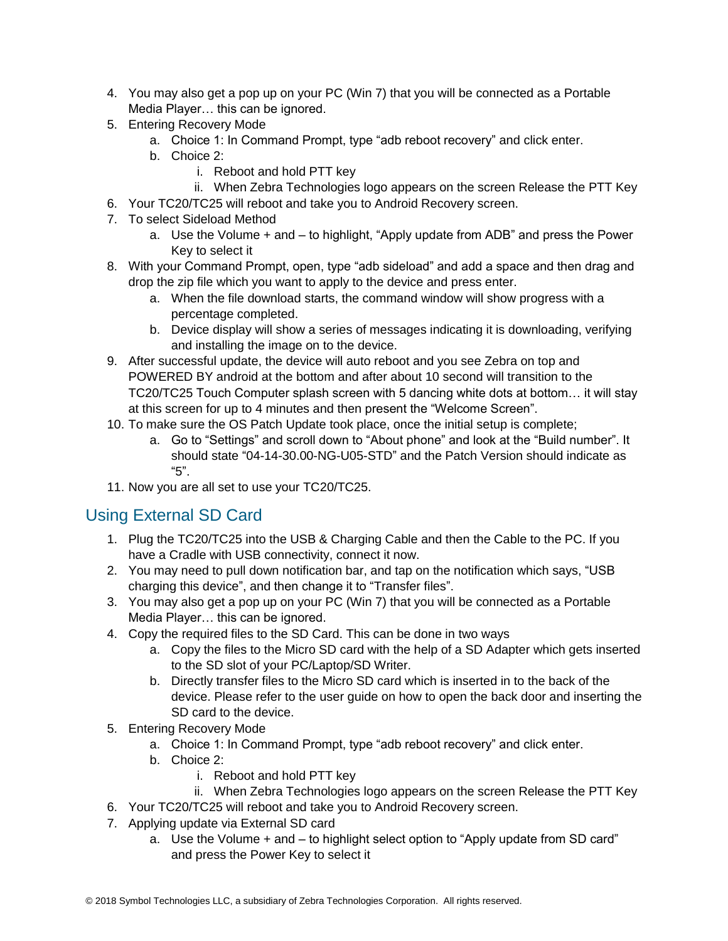- 4. You may also get a pop up on your PC (Win 7) that you will be connected as a Portable Media Player… this can be ignored.
- 5. Entering Recovery Mode
	- a. Choice 1: In Command Prompt, type "adb reboot recovery" and click enter.
	- b. Choice 2:
		- i. Reboot and hold PTT key
		- ii. When Zebra Technologies logo appears on the screen Release the PTT Key
- 6. Your TC20/TC25 will reboot and take you to Android Recovery screen.
- 7. To select Sideload Method
	- a. Use the Volume + and to highlight, "Apply update from ADB" and press the Power Key to select it
- 8. With your Command Prompt, open, type "adb sideload" and add a space and then drag and drop the zip file which you want to apply to the device and press enter.
	- a. When the file download starts, the command window will show progress with a percentage completed.
	- b. Device display will show a series of messages indicating it is downloading, verifying and installing the image on to the device.
- 9. After successful update, the device will auto reboot and you see Zebra on top and POWERED BY android at the bottom and after about 10 second will transition to the TC20/TC25 Touch Computer splash screen with 5 dancing white dots at bottom… it will stay at this screen for up to 4 minutes and then present the "Welcome Screen".
- 10. To make sure the OS Patch Update took place, once the initial setup is complete;
	- a. Go to "Settings" and scroll down to "About phone" and look at the "Build number". It should state "04-14-30.00-NG-U05-STD" and the Patch Version should indicate as "5".
- 11. Now you are all set to use your TC20/TC25.

### Using External SD Card

- 1. Plug the TC20/TC25 into the USB & Charging Cable and then the Cable to the PC. If you have a Cradle with USB connectivity, connect it now.
- 2. You may need to pull down notification bar, and tap on the notification which says, "USB charging this device", and then change it to "Transfer files".
- 3. You may also get a pop up on your PC (Win 7) that you will be connected as a Portable Media Player… this can be ignored.
- 4. Copy the required files to the SD Card. This can be done in two ways
	- a. Copy the files to the Micro SD card with the help of a SD Adapter which gets inserted to the SD slot of your PC/Laptop/SD Writer.
	- b. Directly transfer files to the Micro SD card which is inserted in to the back of the device. Please refer to the user guide on how to open the back door and inserting the SD card to the device.
- 5. Entering Recovery Mode
	- a. Choice 1: In Command Prompt, type "adb reboot recovery" and click enter.
	- b. Choice 2:
		- i. Reboot and hold PTT key
		- ii. When Zebra Technologies logo appears on the screen Release the PTT Key
- 6. Your TC20/TC25 will reboot and take you to Android Recovery screen.
- 7. Applying update via External SD card
	- a. Use the Volume + and to highlight select option to "Apply update from SD card" and press the Power Key to select it